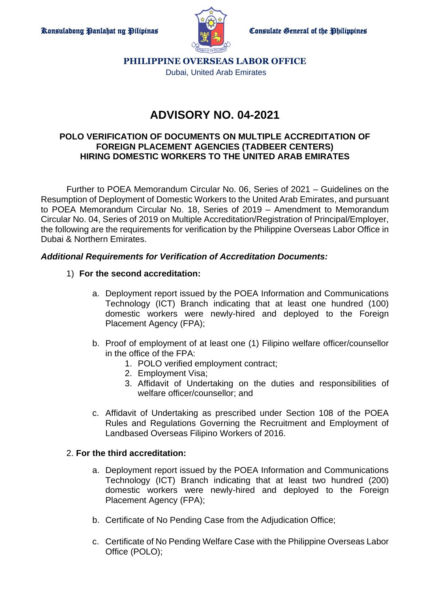

**PHILIPPINE OVERSEAS LABOR OFFICE** Dubai, United Arab Emirates

# **ADVISORY NO. 04-2021**

### **POLO VERIFICATION OF DOCUMENTS ON MULTIPLE ACCREDITATION OF FOREIGN PLACEMENT AGENCIES (TADBEER CENTERS) HIRING DOMESTIC WORKERS TO THE UNITED ARAB EMIRATES**

Further to POEA Memorandum Circular No. 06, Series of 2021 – Guidelines on the Resumption of Deployment of Domestic Workers to the United Arab Emirates, and pursuant to POEA Memorandum Circular No. 18, Series of 2019 – Amendment to Memorandum Circular No. 04, Series of 2019 on Multiple Accreditation/Registration of Principal/Employer, the following are the requirements for verification by the Philippine Overseas Labor Office in Dubai & Northern Emirates.

## *Additional Requirements for Verification of Accreditation Documents:*

## 1) **For the second accreditation:**

- a. Deployment report issued by the POEA Information and Communications Technology (ICT) Branch indicating that at least one hundred (100) domestic workers were newly-hired and deployed to the Foreign Placement Agency (FPA);
- b. Proof of employment of at least one (1) Filipino welfare officer/counsellor in the office of the FPA:
	- 1. POLO verified employment contract;
	- 2. Employment Visa;
	- 3. Affidavit of Undertaking on the duties and responsibilities of welfare officer/counsellor; and
- c. Affidavit of Undertaking as prescribed under Section 108 of the POEA Rules and Regulations Governing the Recruitment and Employment of Landbased Overseas Filipino Workers of 2016.

#### 2. **For the third accreditation:**

- a. Deployment report issued by the POEA Information and Communications Technology (ICT) Branch indicating that at least two hundred (200) domestic workers were newly-hired and deployed to the Foreign Placement Agency (FPA);
- b. Certificate of No Pending Case from the Adjudication Office;
- c. Certificate of No Pending Welfare Case with the Philippine Overseas Labor Office (POLO);